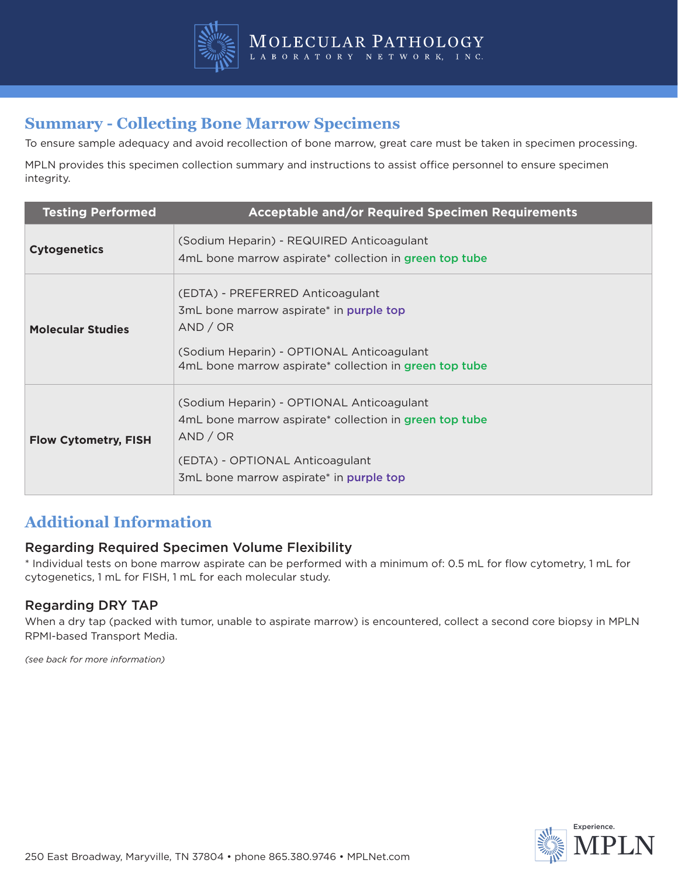

## **Summary - Collecting Bone Marrow Specimens**

To ensure sample adequacy and avoid recollection of bone marrow, great care must be taken in specimen processing.

MPLN provides this specimen collection summary and instructions to assist office personnel to ensure specimen integrity.

| <b>Testing Performed</b>    | <b>Acceptable and/or Required Specimen Requirements</b>                                                                                                                                        |
|-----------------------------|------------------------------------------------------------------------------------------------------------------------------------------------------------------------------------------------|
| <b>Cytogenetics</b>         | (Sodium Heparin) - REQUIRED Anticoagulant<br>4mL bone marrow aspirate* collection in green top tube                                                                                            |
| <b>Molecular Studies</b>    | (EDTA) - PREFERRED Anticoagulant<br>3mL bone marrow aspirate* in purple top<br>AND / OR<br>(Sodium Heparin) - OPTIONAL Anticoagulant<br>4mL bone marrow aspirate* collection in green top tube |
| <b>Flow Cytometry, FISH</b> | (Sodium Heparin) - OPTIONAL Anticoagulant<br>4mL bone marrow aspirate* collection in green top tube<br>AND / OR<br>(EDTA) - OPTIONAL Anticoagulant<br>3mL bone marrow aspirate* in purple top  |

### **Additional Information**

#### Regarding Required Specimen Volume Flexibility

\* Individual tests on bone marrow aspirate can be performed with a minimum of: 0.5 mL for flow cytometry, 1 mL for cytogenetics, 1 mL for FISH, 1 mL for each molecular study.

#### Regarding DRY TAP

When a dry tap (packed with tumor, unable to aspirate marrow) is encountered, collect a second core biopsy in MPLN RPMI-based Transport Media.

*(see back for more information)*